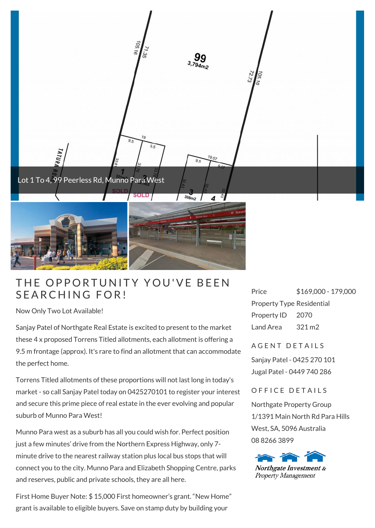

## THE OPPORTUNITY<br>SEARCHING FOR!

Now Only Two Lot Available!

Sanjay Patel of Northgate Real Estate is excited to present to the market these 4 x proposed Torrens Titled allotments, each allotment is offering a 9.5 m frontage (approx). It's rare to find an allotment that can accommodate the perfect home.

Torrens Titled allotments of these proportions will not last long in today's market - so call Sanjay Patel today on 0425270101 to register your interest and secure this prime piece of real estate in the ever evolving and popular suburb of Munno Para West!

Munno Para west as a suburb has all you could wish for. Perfect position just a few minutes' drive from the Northern Express Highway, only 7 minute drive to the nearest railway station plus local bus stops that will connect you to the city. Munno Para and Elizabeth Shopping Centre, parks and reserves, public and private schools, they are all here.

First Home Buyer Note: \$ 15,000 First homeowner's grant. "New Home" grant is available to eligible buyers. Save on stamp duty by building your

Price \$169,000 - 179,000 Property Type Residential Property ID 2070 Land Area 321 m2

A GENT DETAILS

Sanjay Patel - 0425 270 101 Jugal Patel - 0449 740 286

OFFICE DETAILS

Northgate Property Group 1/1391 Main North Rd Para Hills West, SA, 5096 Australia 08 8266 3899